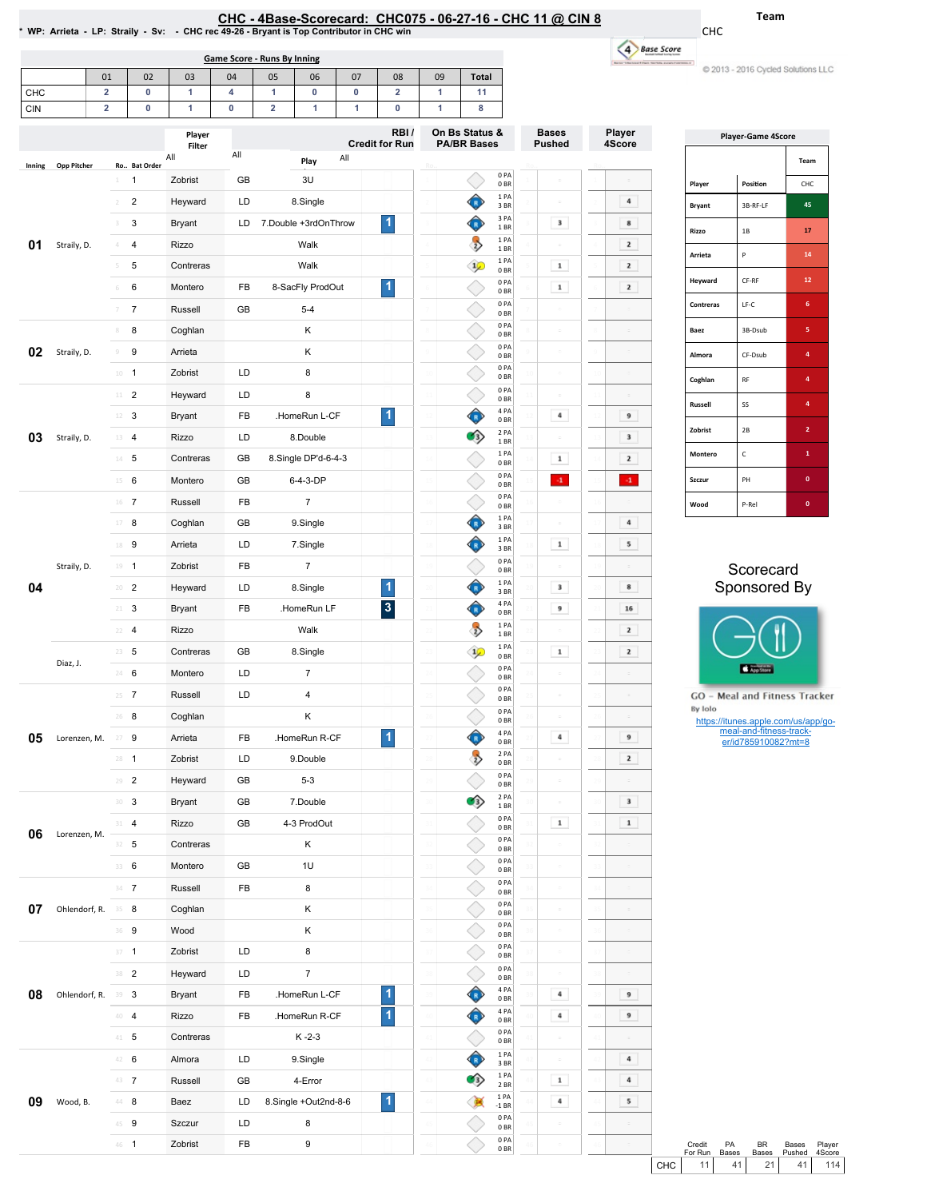| CHC - 4Base-Scorecard: CHC075 - 06-27-16 - CHC 11 @ CIN 8                                |  |
|------------------------------------------------------------------------------------------|--|
| * WP: Arrieta - LP: Straily - Sv: - CHC rec 49-26 - Bryant is Top Contributor in CHC win |  |

Game Score - Runs By Inning

CHC 4 Base Score -

C 2013 - 2016 Cycled Solutions LLC

Team

|        |               | 01                      | 02             | 03               | 04  | 05                      | 06                   | 07                           | 08                            | 09          | <b>Total</b>                         |                         |    |                               |                         |
|--------|---------------|-------------------------|----------------|------------------|-----|-------------------------|----------------------|------------------------------|-------------------------------|-------------|--------------------------------------|-------------------------|----|-------------------------------|-------------------------|
| CHC    |               | $\overline{\mathbf{2}}$ | 0              | 1                | 4   | 1                       | 0                    | 0                            | $\overline{\mathbf{2}}$       | 1           | 11                                   |                         |    |                               |                         |
| CIN    |               | $\overline{\mathbf{2}}$ | $\pmb{0}$      | 1                | 0   | $\overline{\mathbf{2}}$ | 1                    | 1                            | 0                             | 1           | 8                                    |                         |    |                               |                         |
|        |               |                         |                | Player<br>Filter |     |                         |                      |                              | RBI/<br><b>Credit for Run</b> |             | On Bs Status &<br><b>PA/BR Bases</b> |                         |    | <b>Bases</b><br><b>Pushed</b> | Player<br>4Score        |
| Inning | Opp Pitcher   |                         | Ro Bat Order   | All              | All |                         | Play                 | All                          |                               |             |                                      |                         |    |                               |                         |
|        |               | 1                       | 1              | Zobrist          | GB  |                         | 3U                   |                              |                               |             |                                      | 0PA<br>0 <sub>BR</sub>  |    |                               |                         |
|        |               | $\overline{2}$          | $\sqrt{2}$     | Heyward          | LD  |                         | 8.Single             |                              |                               |             |                                      | 1PA<br>3 BR             |    |                               | 4                       |
|        |               | 3                       | 3              | Bryant           | LD  |                         | 7.Double +3rdOnThrow |                              | 1                             |             |                                      | 3 PA<br>1BR             |    | 3                             | 8                       |
| 01     | Straily, D.   | $\Delta$                | $\overline{4}$ | Rizzo            |     |                         | Walk                 |                              |                               |             | $\rightarrow$                        | 1PA<br>1 BR             |    |                               | $\mathbf{z}$            |
|        |               | 5                       | 5              | Contreras        |     |                         | Walk                 |                              |                               |             | $\frac{1}{2}$                        | 1 PA<br>0 <sub>BR</sub> |    | $\mathbf 1$                   | $\mathbf{z}$            |
|        |               | $\,$ 6                  | 6              | Montero          | FB  |                         | 8-SacFly ProdOut     |                              | 1                             |             |                                      | 0PA<br>0 <sub>BR</sub>  |    | $\mathbf 1$                   | $\mathbf{z}$            |
|        |               | 7                       | $\overline{7}$ | Russell          | GB  |                         | $5 - 4$              |                              |                               |             |                                      | 0PA<br>0 <sub>BR</sub>  |    |                               |                         |
|        |               | 8                       | 8              | Coghlan          |     |                         | Κ                    |                              |                               |             |                                      | 0PA<br>0 <sub>BR</sub>  |    |                               |                         |
| 02     | Straily, D.   | $\mathcal G$            | 9              | Arrieta          |     |                         | Κ                    |                              |                               |             |                                      | 0PA<br>0 <sub>BR</sub>  |    |                               |                         |
|        |               | $10\,$                  | $\overline{1}$ | Zobrist          | LD  |                         | 8                    |                              |                               | 10          |                                      | 0PA<br>0 <sub>BR</sub>  | 10 |                               |                         |
|        |               | 11                      | $\overline{2}$ | Heyward          | LD  |                         | 8                    |                              |                               |             |                                      | 0PA<br>0 <sub>BR</sub>  |    |                               |                         |
|        |               | 12                      | 3              | Bryant           | FB  |                         | .HomeRun L-CF        |                              | 1                             |             |                                      | 4 PA<br>0 <sub>BR</sub> |    | 4                             | 9                       |
| 03     | Straily, D.   | 13                      | 4              | Rizzo            | LD  |                         | 8.Double             |                              |                               | 13          | $_{\rm 3)}$                          | 2 PA<br>1 BR            |    |                               | $\mathbf 3$             |
|        |               |                         | $14$ 5         | Contreras        | GB  |                         | 8.Single DP'd-6-4-3  |                              |                               | 14          |                                      | 1 PA<br>0 <sub>BR</sub> | Ţ, | $\mathbf 1$                   | $\mathbf{z}$            |
|        |               | 15                      | 6              | Montero          | GB  |                         | 6-4-3-DP             |                              |                               |             |                                      | 0PA                     |    | $4^{\circ}$                   | $4\,$                   |
|        |               | 16                      | $\overline{7}$ | Russell          | FB  |                         | $\overline{7}$       |                              |                               | 16          |                                      | 0 <sub>BR</sub><br>0PA  | 16 |                               |                         |
|        |               | 17                      | 8              | Coghlan          | GB  |                         | 9.Single             |                              |                               |             |                                      | 0 <sub>BR</sub><br>1PA  |    |                               | 4                       |
|        |               | 18                      | 9              | Arrieta          | LD  |                         | 7.Single             |                              |                               |             |                                      | 3BR<br>1PA              |    | $\mathbf 1$                   | 5                       |
|        |               |                         |                |                  |     |                         |                      |                              |                               |             |                                      | 3 BR<br>0PA             |    |                               |                         |
|        | Straily, D.   |                         | $19 - 1$       | Zobrist          | FB  |                         | $\overline{7}$       |                              |                               |             |                                      | 0 <sub>BR</sub><br>1PA  |    | 3                             | 8                       |
| 04     | 20            | $\overline{2}$          | Heyward        | LD               |     | 8.Single                |                      | 1<br>$\overline{\mathbf{3}}$ | 20                            |             | 3 BR<br>4 PA                         |                         | 9  | 16                            |                         |
|        | 21            | 3                       | Bryant         | FB               |     | .HomeRun LF             |                      |                              |                               | $\mathbb R$ | 0 <sub>BR</sub><br>1PA               |                         |    |                               |                         |
|        |               | 22                      | 4              | Rizzo            |     |                         | Walk                 |                              |                               |             | $\rightarrow$                        | 1 BR<br>1PA             |    |                               | $\mathbf{z}$            |
|        | Diaz, J.      | 23                      | 5              | Contreras        | GB  |                         | 8.Single             |                              |                               |             | $\frac{1}{2}$                        | 0 <sub>BR</sub><br>0PA  |    | $\mathbf 1$                   | $\mathbf{z}$            |
|        |               | 24                      | 6              | Montero          | LD  |                         | $\overline{7}$       |                              |                               | 24          |                                      | 0 <sub>BR</sub><br>0PA  |    |                               |                         |
|        |               | 25                      | $\overline{7}$ | Russell          | LD  |                         | 4                    |                              |                               |             |                                      | 0 <sub>BR</sub><br>0PA  |    |                               |                         |
|        |               | 26                      | 8              | Coghlan          |     |                         | Κ                    |                              |                               |             |                                      | 0 <sub>BR</sub><br>4 PA |    |                               |                         |
| 05     | Lorenzen, M.  | 27                      | 9              | Arrieta          | FB  |                         | .HomeRun R-CF        |                              | 1                             |             |                                      | 0 <sub>BR</sub>         |    | 4                             | 9                       |
|        |               |                         | $28 - 1$       | Zobrist          | LD  |                         | 9.Double             |                              |                               |             | z)                                   | 2 PA<br>0 <sub>BR</sub> |    |                               | $\mathbf{z}$            |
|        |               | 29                      | $\overline{2}$ | Heyward          | GB  |                         | $5 - 3$              |                              |                               |             |                                      | 0PA<br>0 <sub>BR</sub>  |    |                               |                         |
|        |               | 30                      | 3              | Bryant           | GB  |                         | 7.Double             |                              |                               | 30          |                                      | 2 PA<br>1 BR            | 3Ć |                               | $\overline{\mathbf{3}}$ |
| 06     | Lorenzen, M.  | 31                      | 4              | Rizzo            | GB  |                         | 4-3 ProdOut          |                              |                               | 31          |                                      | 0PA<br>0 <sub>BR</sub>  |    | $\mathbf 1$                   | $\mathbf 1$             |
|        |               | 32                      | 5              | Contreras        |     |                         | Κ                    |                              |                               |             |                                      | 0PA<br>0 <sub>BR</sub>  |    |                               |                         |
|        |               |                         | 33 6           | Montero          | GB  |                         | 1U                   |                              |                               |             |                                      | 0PA<br>0 <sub>BR</sub>  |    |                               |                         |
|        |               |                         | $34 \t 7$      | Russell          | FB  |                         | 8                    |                              |                               | 34          |                                      | 0PA<br>0 <sub>BR</sub>  |    |                               |                         |
| 07     | Ohlendorf, R. | 35                      | 8              | Coghlan          |     |                         | Κ                    |                              |                               | 35          |                                      | 0PA<br>0 <sub>BR</sub>  |    |                               |                         |
|        |               |                         | 36 9           | Wood             |     |                         | Κ                    |                              |                               | 36          |                                      | 0PA<br>0 <sub>BR</sub>  |    |                               |                         |
|        |               | 37                      | $\overline{1}$ | Zobrist          | LD  |                         | 8                    |                              |                               |             |                                      | 0PA<br>0 <sub>BR</sub>  |    |                               |                         |
|        |               |                         | $38 - 2$       | Heyward          | LD  |                         | $\boldsymbol{7}$     |                              |                               | 38          |                                      | 0PA<br>0 <sub>BR</sub>  | 38 |                               |                         |
| 08     | Ohlendorf, R. | 39 3                    |                | Bryant           | FB  |                         | .HomeRun L-CF        |                              | 1                             | 39          |                                      | 4 PA<br>0 <sub>BR</sub> | 39 | $\ddot{\phantom{a}}$          | 9                       |
|        |               |                         | 40 4           | Rizzo            | FB  |                         | .HomeRun R-CF        |                              | 1                             | 40          |                                      | 4 PA<br>0 <sub>BR</sub> |    | $\,$ 4 $\,$                   | 9                       |
|        |               |                         | $41 - 5$       | Contreras        |     |                         | $K - 2 - 3$          |                              |                               | 41          |                                      | 0PA<br>0 <sub>BR</sub>  |    |                               |                         |
|        |               | 42                      | 6              | Almora           | LD  |                         | 9.Single             |                              |                               | 42          |                                      | 1 PA<br>3 BR            |    |                               | $\ddot{a}$              |
|        |               | 43                      | $\overline{7}$ | Russell          | GB  |                         | 4-Error              |                              |                               |             | Э                                    | 1PA<br>2 BR             |    | $\mathbf 1$                   | 4                       |
| 09     | Wood, B.      |                         | $44$ 8         | Baez             | LD  |                         | 8.Single +Out2nd-8-6 |                              | 1                             | 44          |                                      | 1 PA<br>$-1$ BR         |    | 4                             | 5                       |
|        |               | 45                      | 9              | Szczur           | LD  |                         | 8                    |                              |                               | 45          |                                      | 0PA<br>0 <sub>BR</sub>  |    |                               |                         |
|        |               |                         | 46 1           | Zobrist          | FB  |                         | 9                    |                              |                               |             |                                      | 0 PA<br>0B              |    |                               |                         |
|        |               |                         |                |                  |     |                         |                      |                              |                               |             |                                      |                         |    |                               |                         |

| <b>Player-Game 4Score</b> |          |                |  |  |  |  |  |
|---------------------------|----------|----------------|--|--|--|--|--|
|                           |          | Team           |  |  |  |  |  |
| Player                    | Position | CHC            |  |  |  |  |  |
| <b>Bryant</b>             | 3B-RF-LF | 45             |  |  |  |  |  |
| Rizzo                     | 1B       | 17             |  |  |  |  |  |
| Arrieta                   | P        | 14             |  |  |  |  |  |
| Heyward                   | CF-RF    | 12             |  |  |  |  |  |
| Contreras                 | LF-C     | 6              |  |  |  |  |  |
| Baez                      | 3B-Dsub  | 5              |  |  |  |  |  |
| Almora                    | CF-Dsub  | 4              |  |  |  |  |  |
| Coghlan                   | RF       | 4              |  |  |  |  |  |
| Russell                   | SS       | $\overline{a}$ |  |  |  |  |  |
| Zobrist                   | 2B       | $\overline{2}$ |  |  |  |  |  |
| Montero                   | C        | 1              |  |  |  |  |  |
| Szczur                    | PH       | $\mathbf{0}$   |  |  |  |  |  |
| Wood                      | P-Rel    | $\mathbf{0}$   |  |  |  |  |  |

## **Scorecard** Sponsored By



**GO** - Meal and Fitness Tracker By Iolo

https://itunes.apple.com/us/app/go-meal-and-fitness-track-er/id785910082?mt=8

|       | Credit<br>For Run | PA<br><b>Bases</b> | <b>BR</b><br>Bases | Bases<br>Pushed | Plaver<br>4Score |  |
|-------|-------------------|--------------------|--------------------|-----------------|------------------|--|
| снс I | 11                | 41                 | 21                 | 41              | 114              |  |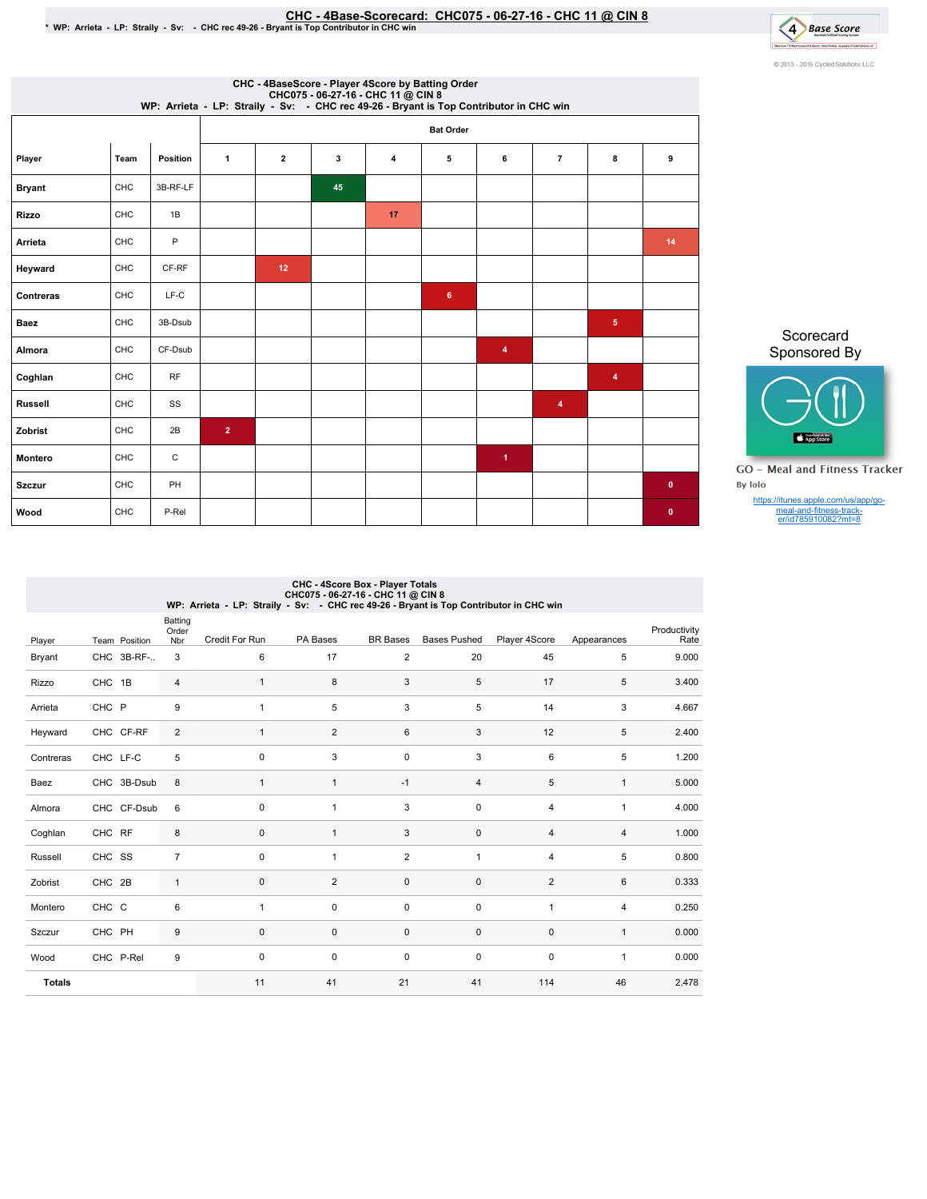## CHC-4Base-Scorecard:CHC075-06-27-16-CHC11@ CIN8 \*WP:Arrieta-LP:Straily-Sv: -CHCrec49-26-BryantisTopContributorinCHCwin



|                |      |                 |                  |                |    | CHC - 4BaseScore - Player 4Score by Batting Order<br>CHC075 - 06-27-16 - CHC 11 @ CIN 8<br>WP: Arrieta - LP: Straily - Sv: - CHC rec 49-26 - Bryant is Top Contributor in CHC win |   |                         |                |                         |           |  |  |
|----------------|------|-----------------|------------------|----------------|----|-----------------------------------------------------------------------------------------------------------------------------------------------------------------------------------|---|-------------------------|----------------|-------------------------|-----------|--|--|
|                |      |                 | <b>Bat Order</b> |                |    |                                                                                                                                                                                   |   |                         |                |                         |           |  |  |
| Player         | Team | <b>Position</b> | $\mathbf{1}$     | $\overline{2}$ | 3  | 4                                                                                                                                                                                 | 5 | 6                       | $\overline{7}$ | 8                       | 9         |  |  |
| <b>Bryant</b>  | CHC  | 3B-RF-LF        |                  |                | 45 |                                                                                                                                                                                   |   |                         |                |                         |           |  |  |
| <b>Rizzo</b>   | CHC  | 1B              |                  |                |    | 17                                                                                                                                                                                |   |                         |                |                         |           |  |  |
| Arrieta        | CHC  | P               |                  |                |    |                                                                                                                                                                                   |   |                         |                |                         | 14        |  |  |
| Heyward        | CHC  | CF-RF           |                  | 12             |    |                                                                                                                                                                                   |   |                         |                |                         |           |  |  |
| Contreras      | CHC  | $LF-C$          |                  |                |    |                                                                                                                                                                                   | 6 |                         |                |                         |           |  |  |
| <b>Baez</b>    | CHC  | 3B-Dsub         |                  |                |    |                                                                                                                                                                                   |   |                         |                | 5 <sub>5</sub>          |           |  |  |
| Almora         | CHC  | CF-Dsub         |                  |                |    |                                                                                                                                                                                   |   | $\overline{\mathbf{4}}$ |                |                         |           |  |  |
| Coghlan        | CHC  | <b>RF</b>       |                  |                |    |                                                                                                                                                                                   |   |                         |                | $\overline{\mathbf{4}}$ |           |  |  |
| <b>Russell</b> | CHC  | SS              |                  |                |    |                                                                                                                                                                                   |   |                         | 4              |                         |           |  |  |
| Zobrist        | CHC  | 2B              | $\overline{2}$   |                |    |                                                                                                                                                                                   |   |                         |                |                         |           |  |  |
| Montero        | CHC  | C               |                  |                |    |                                                                                                                                                                                   |   | $\blacktriangleleft$    |                |                         |           |  |  |
| <b>Szczur</b>  | CHC  | PH              |                  |                |    |                                                                                                                                                                                   |   |                         |                |                         | $\bullet$ |  |  |
| Wood           | CHC  | P-Rel           |                  |                |    |                                                                                                                                                                                   |   |                         |                |                         | $\bullet$ |  |  |

Scorecard Sponsored By



**GO** - Meal and Fitness Tracker By Iolo

https://itunes.apple.com/us/app/go-meal-and-fitness-track-er/id785910082?mt=8

| CHC - 4Score Box - Player Totals<br>CHC075 - 06-27-16 - CHC 11 @ CIN 8<br>WP: Arrieta - LP: Straily - Sv: - CHC rec 49-26 - Bryant is Top Contributor in CHC win |               |                         |  |                |                |                 |                     |                |                |                      |  |  |
|------------------------------------------------------------------------------------------------------------------------------------------------------------------|---------------|-------------------------|--|----------------|----------------|-----------------|---------------------|----------------|----------------|----------------------|--|--|
| Player                                                                                                                                                           | Team Position | Batting<br>Order<br>Nbr |  | Credit For Run | PA Bases       | <b>BR</b> Bases | <b>Bases Pushed</b> | Player 4Score  | Appearances    | Productivity<br>Rate |  |  |
| Bryant                                                                                                                                                           | CHC 3B-RF-    | 3                       |  | 6              | 17             | $\overline{2}$  | 20                  | 45             | 5              | 9.000                |  |  |
| Rizzo                                                                                                                                                            | CHC 1B        | 4                       |  | 1              | 8              | 3               | 5                   | 17             | 5              | 3.400                |  |  |
| Arrieta                                                                                                                                                          | CHC P         | 9                       |  | $\mathbf{1}$   | 5              | 3               | 5                   | 14             | 3              | 4.667                |  |  |
| Heyward                                                                                                                                                          | CHC CF-RF     | $\overline{2}$          |  | $\mathbf{1}$   | $\overline{2}$ | 6               | 3                   | 12             | 5              | 2.400                |  |  |
| Contreras                                                                                                                                                        | CHC LF-C      | 5                       |  | $\mathbf 0$    | 3              | $\mathbf 0$     | 3                   | 6              | 5              | 1.200                |  |  |
| Baez                                                                                                                                                             | CHC 3B-Dsub   | 8                       |  | $\mathbf{1}$   | $\mathbf{1}$   | $-1$            | $\overline{4}$      | 5              | $\mathbf{1}$   | 5.000                |  |  |
| Almora                                                                                                                                                           | CHC CF-Dsub   | 6                       |  | $\Omega$       | $\mathbf{1}$   | 3               | $\Omega$            | $\overline{4}$ | $\mathbf{1}$   | 4.000                |  |  |
| Coghlan                                                                                                                                                          | CHC RF        | 8                       |  | $\mathbf 0$    | $\mathbf{1}$   | 3               | $\mathbf 0$         | $\overline{4}$ | $\overline{4}$ | 1.000                |  |  |
| Russell                                                                                                                                                          | CHC SS        | $\overline{7}$          |  | 0              | 1              | $\overline{2}$  | $\mathbf{1}$        | $\overline{4}$ | 5              | 0.800                |  |  |
| Zobrist                                                                                                                                                          | CHC 2B        | $\mathbf{1}$            |  | $\mathbf 0$    | $\overline{2}$ | $\mathbf 0$     | $\mathbf 0$         | $\overline{2}$ | 6              | 0.333                |  |  |
| Montero                                                                                                                                                          | CHC C         | 6                       |  | $\mathbf{1}$   | $\Omega$       | $\mathbf 0$     | $\mathbf 0$         | 1              | $\overline{4}$ | 0.250                |  |  |
| Szczur                                                                                                                                                           | CHC PH        | 9                       |  | $\mathbf 0$    | $\mathbf 0$    | $\mathbf 0$     | $\mathbf 0$         | $\mathbf 0$    | $\mathbf{1}$   | 0.000                |  |  |
| Wood                                                                                                                                                             | CHC P-Rel     | 9                       |  | $\mathbf 0$    | $\mathbf 0$    | $\mathbf 0$     | $\mathbf 0$         | 0              | $\mathbf{1}$   | 0.000                |  |  |
| <b>Totals</b>                                                                                                                                                    |               |                         |  | 11             | 41             | 21              | 41                  | 114            | 46             | 2.478                |  |  |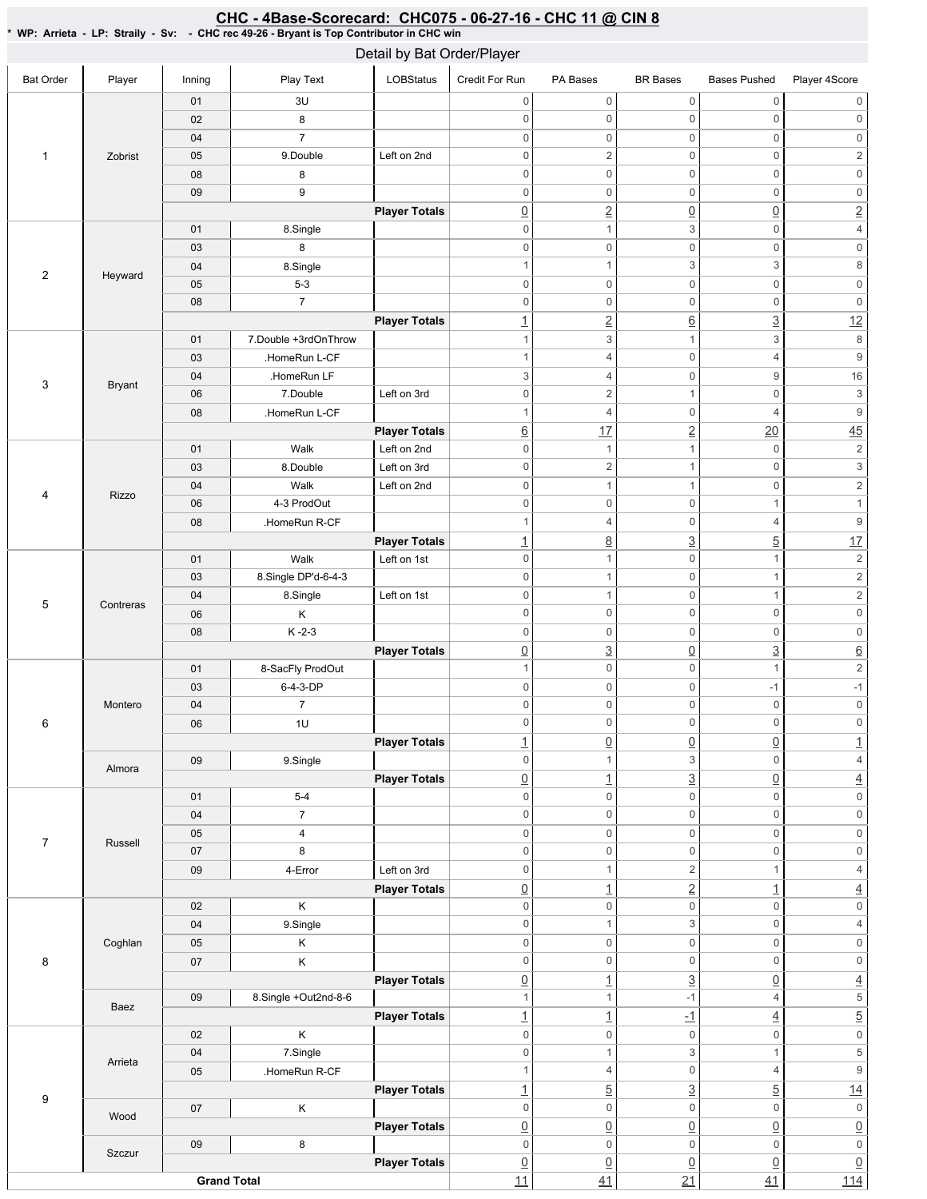## Bat Order | Player | Inning | PlayText | LOBStatus Credit For Run PA Bases BR Bases Bases Pushed Player 4Score 1 Zobrist 01 3U 02 8 04 7 05 9.Double Left on 2nd 08 8 09 9 **Player Totals** 2 Heyward 01 8.Single 03 8 04 8.Single 05 5-3 08 7 **Player Totals** 3 Bryant 01 7.Double +3rdOnThrow 03 **HomeRun L-CF** 04 .HomeRun LF 06 7.Double Left on 3rd 08 | HomeRun L-CF **Player Totals** 4 Rizzo 01 | Walk Left on 2nd 03 8.Double Left on 3rd 04 Walk Left on 2nd 06 4-3 ProdOut 08 | .HomeRun R-CF **Player Totals** 5 Contreras 01 | Walk Left on 1st 03 8.Single DP'd-6-4-3 04 | 8.Single | Left on 1st 06 K 08 K-2-3 **Player Totals** 6 Montero 01 8-SacFly ProdOut 03 **6-4-3-DP** 04 7 06 1U **Player Totals** Almora 09 9.Single **Player Totals** 7 Russell 01 5-4 04 7 05 4 07 8 09 | 4-Error | Left on 3rd **Player Totals** 8 Coghlan 02 K 04 9.Single 05 K 07 K **Player Totals** Baez 09 8.Single +Out2nd-8-6 **Player Totals** 9 Arrieta 02 K 04 7.Single 05 **.HomeRun R-CF Player Totals** Wood 07 K **Player Totals** Szczur 09 8 **Player Totals Grand Total** 0 0 0 0 0 0 0 0 0 0 0 0 0 0 0 0 0 0 0 0 2 0 2 0 0 0 0 0 0 0 0 0 0 0 0 0 2 0 0 2 0 1 3 0 4 0 0 0 0 0 0 1  $1$  3 3 8 0 0 0 0 0 0 0 0 0 0 0 0 1 2 6 3 12 1  $3$  1  $3$  8 1  $\begin{array}{ccc} 4 & 0 & 4 & 9 \end{array}$ 3 4 0 9 16 0 2 1 0 3 1 4 0 4 9 <u>6</u> 17 2 20 45 0 1 1 0 2 0 2 1 0 3 0 1 1 0 2 0 0 1 1 1 1 4 0 4 9 1 8 3 5 17 0 1 0 1 2 0 1 0 1 2 0 1 0 1 2 0 0 0 0 0 0 0 0 0 0 0 0 0 3 0 3 6 1 0 0 1 2 0 0 -1 -1 0 0 0 0 0 0 0 0 0 0 0 0 1 0 0 0 0 1 0 1 3 0 4 0 1 3 0 4 0 0 0 0 0 0 0 0 0 0 0 0 0 0 0 0 0 0 0 0 0 0 0 0 0 1 2 1 4 0 1 2 1 4 0 0 0 0 0 0 0 1 3 0 4 0 0 0 0 0 0 0 0 0 0 0 0 0 1 3 0 4 1  $1$  -1 4 5 1  $1$   $-1$   $-1$   $4$   $5$ 0 0 0 0 0 0 0 1 3 1 5 1 4 0 4 9 1  $\frac{1}{2}$  5  $\frac{3}{2}$  5  $\frac{14}{2}$ 0 0 0 0 0 0  $\begin{array}{c|c|c|c|c|c} \hline \Omega & \Omega & \Omega & \Omega \end{array} \hspace{1.5cm} \begin{array}{c|c|c} \hline \Omega & \Omega & \Omega \end{array} \hspace{1.5cm} \begin{array}{c|c|c} \hline \Omega & \Omega & \Omega \end{array} \end{array}$ 0 0 0 0 0 0  $\begin{array}{c|c|c|c|c|c} \hline \Omega & \Omega & \Omega & \Omega \end{array} \hspace{1.5cm} \begin{array}{c|c|c} \hline \Omega & \Omega & \Omega \end{array} \hspace{1.5cm} \begin{array}{c|c|c} \hline \Omega & \Omega & \Omega \end{array} \end{array}$ <u>11 41 21 41 114</u> Detail by Bat Order/Player

## CHC - 4Base-Scorecard: CHC075 - 06-27-16 - CHC 11 @ CIN 8

\*WP:Arrieta-LP:Straily-Sv: -CHCrec49-26-BryantisTopContributorinCHCwin